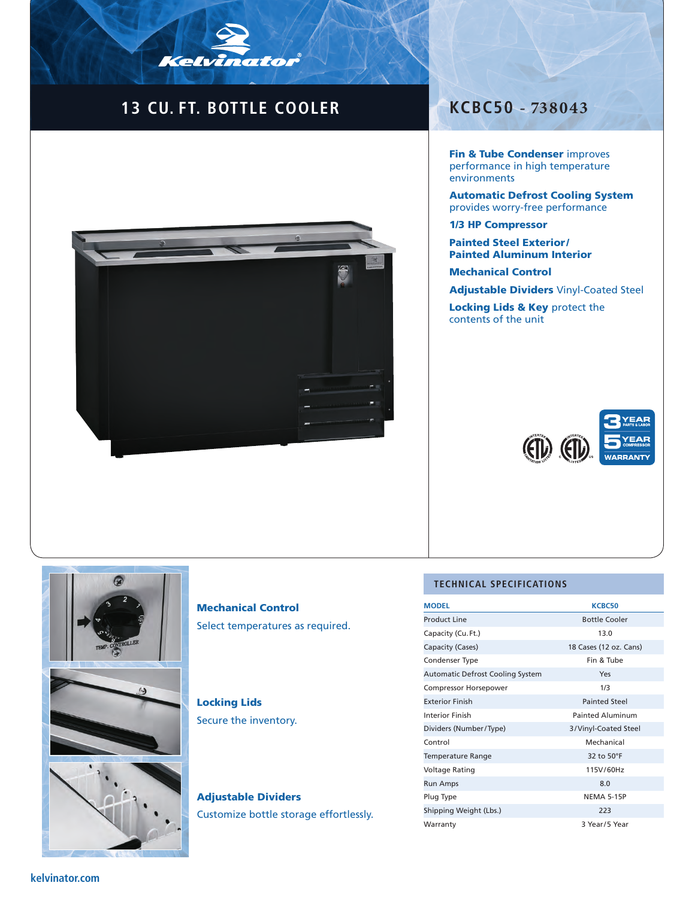# **13 CU. FT. BOTTLE COOLER KCBC50 - 738043**

Kelvinator



Fin & Tube Condenser improves performance in high temperature environments

Automatic Defrost Cooling System provides worry-free performance

1/3 HP Compressor

Painted Steel Exterior / Painted Aluminum Interior

Mechanical Control

Adjustable Dividers Vinyl-Coated Steel

Locking Lids & Key protect the contents of the unit





## Mechanical Control Select temperatures as required.

### Locking Lids Secure the inventory.

Adjustable Dividers Customize bottle storage effortlessly.

#### **TECHNICAL SPECIFICATIONS**

| <b>MODEL</b>                            | <b>KCBC50</b>           |
|-----------------------------------------|-------------------------|
| Product Line                            | <b>Bottle Cooler</b>    |
| Capacity (Cu. Ft.)                      | 13.0                    |
| Capacity (Cases)                        | 18 Cases (12 oz. Cans)  |
| Condenser Type                          | Fin & Tube              |
| <b>Automatic Defrost Cooling System</b> | Yes                     |
| <b>Compressor Horsepower</b>            | 1/3                     |
| <b>Exterior Finish</b>                  | <b>Painted Steel</b>    |
| <b>Interior Finish</b>                  | <b>Painted Aluminum</b> |
| Dividers (Number/Type)                  | 3/Vinyl-Coated Steel    |
| Control                                 | Mechanical              |
| <b>Temperature Range</b>                | 32 to 50°F              |
| <b>Voltage Rating</b>                   | 115V/60Hz               |
| <b>Run Amps</b>                         | 8.0                     |
| Plug Type                               | <b>NEMA 5-15P</b>       |
| Shipping Weight (Lbs.)                  | 223                     |
| Warranty                                | 3 Year/5 Year           |